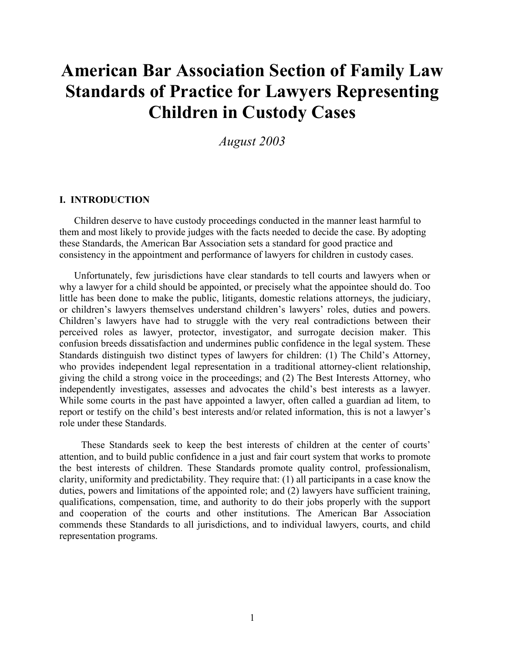# **American Bar Association Section of Family Law Standards of Practice for Lawyers Representing Children in Custody Cases**

*August 2003* 

# **I. INTRODUCTION**

Children deserve to have custody proceedings conducted in the manner least harmful to them and most likely to provide judges with the facts needed to decide the case. By adopting these Standards, the American Bar Association sets a standard for good practice and consistency in the appointment and performance of lawyers for children in custody cases.

Unfortunately, few jurisdictions have clear standards to tell courts and lawyers when or why a lawyer for a child should be appointed, or precisely what the appointee should do. Too little has been done to make the public, litigants, domestic relations attorneys, the judiciary, or children's lawyers themselves understand children's lawyers' roles, duties and powers. Children's lawyers have had to struggle with the very real contradictions between their perceived roles as lawyer, protector, investigator, and surrogate decision maker. This confusion breeds dissatisfaction and undermines public confidence in the legal system. These Standards distinguish two distinct types of lawyers for children: (1) The Child's Attorney, who provides independent legal representation in a traditional attorney-client relationship, giving the child a strong voice in the proceedings; and (2) The Best Interests Attorney, who independently investigates, assesses and advocates the child's best interests as a lawyer. While some courts in the past have appointed a lawyer, often called a guardian ad litem, to report or testify on the child's best interests and/or related information, this is not a lawyer's role under these Standards.

These Standards seek to keep the best interests of children at the center of courts' attention, and to build public confidence in a just and fair court system that works to promote the best interests of children. These Standards promote quality control, professionalism, clarity, uniformity and predictability. They require that: (1) all participants in a case know the duties, powers and limitations of the appointed role; and (2) lawyers have sufficient training, qualifications, compensation, time, and authority to do their jobs properly with the support and cooperation of the courts and other institutions. The American Bar Association commends these Standards to all jurisdictions, and to individual lawyers, courts, and child representation programs.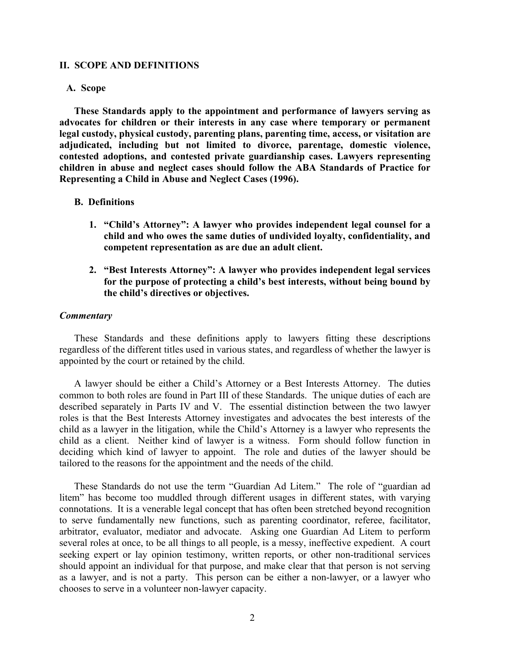## **II. SCOPE AND DEFINITIONS**

# **A. Scope**

**These Standards apply to the appointment and performance of lawyers serving as advocates for children or their interests in any case where temporary or permanent legal custody, physical custody, parenting plans, parenting time, access, or visitation are adjudicated, including but not limited to divorce, parentage, domestic violence, contested adoptions, and contested private guardianship cases. Lawyers representing children in abuse and neglect cases should follow the ABA Standards of Practice for Representing a Child in Abuse and Neglect Cases (1996).** 

# **B. Definitions**

- **1. "Child's Attorney": A lawyer who provides independent legal counsel for a child and who owes the same duties of undivided loyalty, confidentiality, and competent representation as are due an adult client.**
- **2. "Best Interests Attorney": A lawyer who provides independent legal services for the purpose of protecting a child's best interests, without being bound by the child's directives or objectives.**

#### *Commentary*

These Standards and these definitions apply to lawyers fitting these descriptions regardless of the different titles used in various states, and regardless of whether the lawyer is appointed by the court or retained by the child.

A lawyer should be either a Child's Attorney or a Best Interests Attorney. The duties common to both roles are found in Part III of these Standards. The unique duties of each are described separately in Parts IV and V. The essential distinction between the two lawyer roles is that the Best Interests Attorney investigates and advocates the best interests of the child as a lawyer in the litigation, while the Child's Attorney is a lawyer who represents the child as a client. Neither kind of lawyer is a witness. Form should follow function in deciding which kind of lawyer to appoint. The role and duties of the lawyer should be tailored to the reasons for the appointment and the needs of the child.

These Standards do not use the term "Guardian Ad Litem." The role of "guardian ad litem" has become too muddled through different usages in different states, with varying connotations. It is a venerable legal concept that has often been stretched beyond recognition to serve fundamentally new functions, such as parenting coordinator, referee, facilitator, arbitrator, evaluator, mediator and advocate. Asking one Guardian Ad Litem to perform several roles at once, to be all things to all people, is a messy, ineffective expedient. A court seeking expert or lay opinion testimony, written reports, or other non-traditional services should appoint an individual for that purpose, and make clear that that person is not serving as a lawyer, and is not a party. This person can be either a non-lawyer, or a lawyer who chooses to serve in a volunteer non-lawyer capacity.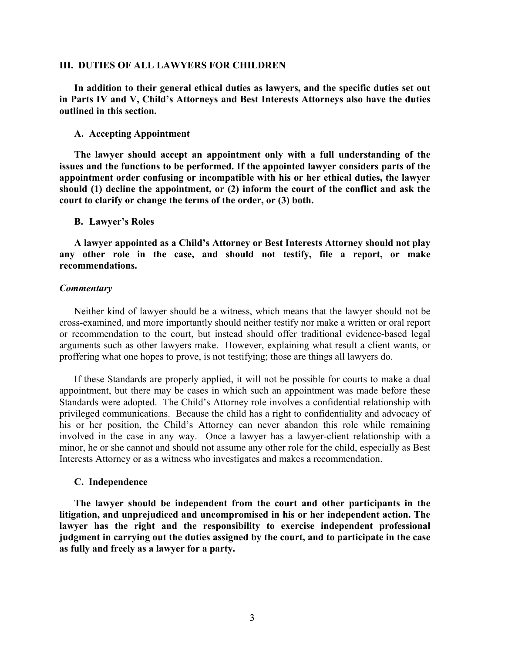## **III. DUTIES OF ALL LAWYERS FOR CHILDREN**

**In addition to their general ethical duties as lawyers, and the specific duties set out in Parts IV and V, Child's Attorneys and Best Interests Attorneys also have the duties outlined in this section.**

## **A. Accepting Appointment**

 **The lawyer should accept an appointment only with a full understanding of the issues and the functions to be performed. If the appointed lawyer considers parts of the appointment order confusing or incompatible with his or her ethical duties, the lawyer should (1) decline the appointment, or (2) inform the court of the conflict and ask the court to clarify or change the terms of the order, or (3) both.** 

## **B. Lawyer's Roles**

**A lawyer appointed as a Child's Attorney or Best Interests Attorney should not play any other role in the case, and should not testify, file a report, or make recommendations.** 

#### *Commentary*

Neither kind of lawyer should be a witness, which means that the lawyer should not be cross-examined, and more importantly should neither testify nor make a written or oral report or recommendation to the court, but instead should offer traditional evidence-based legal arguments such as other lawyers make. However, explaining what result a client wants, or proffering what one hopes to prove, is not testifying; those are things all lawyers do.

If these Standards are properly applied, it will not be possible for courts to make a dual appointment, but there may be cases in which such an appointment was made before these Standards were adopted. The Child's Attorney role involves a confidential relationship with privileged communications. Because the child has a right to confidentiality and advocacy of his or her position, the Child's Attorney can never abandon this role while remaining involved in the case in any way. Once a lawyer has a lawyer-client relationship with a minor, he or she cannot and should not assume any other role for the child, especially as Best Interests Attorney or as a witness who investigates and makes a recommendation.

## **C. Independence**

**The lawyer should be independent from the court and other participants in the litigation, and unprejudiced and uncompromised in his or her independent action. The lawyer has the right and the responsibility to exercise independent professional judgment in carrying out the duties assigned by the court, and to participate in the case as fully and freely as a lawyer for a party.**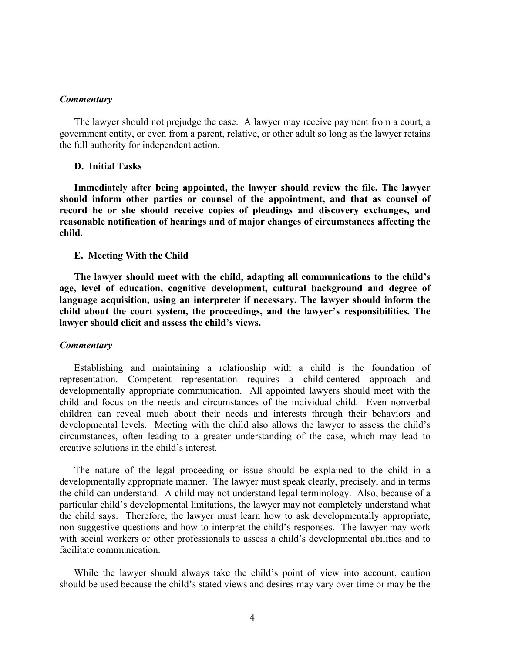The lawyer should not prejudge the case. A lawyer may receive payment from a court, a government entity, or even from a parent, relative, or other adult so long as the lawyer retains the full authority for independent action.

## **D. Initial Tasks**

**Immediately after being appointed, the lawyer should review the file. The lawyer should inform other parties or counsel of the appointment, and that as counsel of record he or she should receive copies of pleadings and discovery exchanges, and reasonable notification of hearings and of major changes of circumstances affecting the child.** 

#### **E. Meeting With the Child**

**The lawyer should meet with the child, adapting all communications to the child's age, level of education, cognitive development, cultural background and degree of language acquisition, using an interpreter if necessary. The lawyer should inform the child about the court system, the proceedings, and the lawyer's responsibilities. The lawyer should elicit and assess the child's views.** 

#### *Commentary*

Establishing and maintaining a relationship with a child is the foundation of representation. Competent representation requires a child-centered approach and developmentally appropriate communication. All appointed lawyers should meet with the child and focus on the needs and circumstances of the individual child. Even nonverbal children can reveal much about their needs and interests through their behaviors and developmental levels. Meeting with the child also allows the lawyer to assess the child's circumstances, often leading to a greater understanding of the case, which may lead to creative solutions in the child's interest.

The nature of the legal proceeding or issue should be explained to the child in a developmentally appropriate manner. The lawyer must speak clearly, precisely, and in terms the child can understand. A child may not understand legal terminology. Also, because of a particular child's developmental limitations, the lawyer may not completely understand what the child says. Therefore, the lawyer must learn how to ask developmentally appropriate, non-suggestive questions and how to interpret the child's responses. The lawyer may work with social workers or other professionals to assess a child's developmental abilities and to facilitate communication.

While the lawyer should always take the child's point of view into account, caution should be used because the child's stated views and desires may vary over time or may be the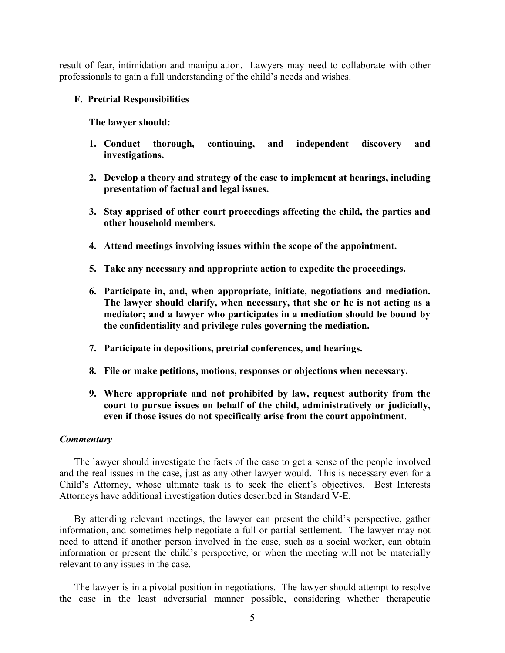result of fear, intimidation and manipulation. Lawyers may need to collaborate with other professionals to gain a full understanding of the child's needs and wishes.

# **F. Pretrial Responsibilities**

**The lawyer should:** 

- **1. Conduct thorough, continuing, and independent discovery and investigations.**
- **2. Develop a theory and strategy of the case to implement at hearings, including presentation of factual and legal issues.**
- **3. Stay apprised of other court proceedings affecting the child, the parties and other household members.**
- **4. Attend meetings involving issues within the scope of the appointment.**
- **5. Take any necessary and appropriate action to expedite the proceedings.**
- **6. Participate in, and, when appropriate, initiate, negotiations and mediation. The lawyer should clarify, when necessary, that she or he is not acting as a mediator; and a lawyer who participates in a mediation should be bound by the confidentiality and privilege rules governing the mediation.**
- **7. Participate in depositions, pretrial conferences, and hearings.**
- **8. File or make petitions, motions, responses or objections when necessary.**
- **9. Where appropriate and not prohibited by law, request authority from the court to pursue issues on behalf of the child, administratively or judicially, even if those issues do not specifically arise from the court appointment**.

# *Commentary*

The lawyer should investigate the facts of the case to get a sense of the people involved and the real issues in the case, just as any other lawyer would. This is necessary even for a Child's Attorney, whose ultimate task is to seek the client's objectives. Best Interests Attorneys have additional investigation duties described in Standard V-E.

By attending relevant meetings, the lawyer can present the child's perspective, gather information, and sometimes help negotiate a full or partial settlement. The lawyer may not need to attend if another person involved in the case, such as a social worker, can obtain information or present the child's perspective, or when the meeting will not be materially relevant to any issues in the case.

The lawyer is in a pivotal position in negotiations. The lawyer should attempt to resolve the case in the least adversarial manner possible, considering whether therapeutic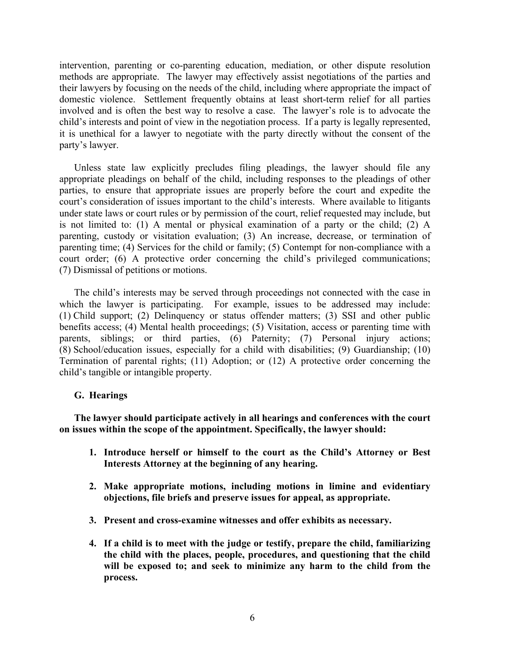intervention, parenting or co-parenting education, mediation, or other dispute resolution methods are appropriate. The lawyer may effectively assist negotiations of the parties and their lawyers by focusing on the needs of the child, including where appropriate the impact of domestic violence. Settlement frequently obtains at least short-term relief for all parties involved and is often the best way to resolve a case. The lawyer's role is to advocate the child's interests and point of view in the negotiation process. If a party is legally represented, it is unethical for a lawyer to negotiate with the party directly without the consent of the party's lawyer.

Unless state law explicitly precludes filing pleadings, the lawyer should file any appropriate pleadings on behalf of the child, including responses to the pleadings of other parties, to ensure that appropriate issues are properly before the court and expedite the court's consideration of issues important to the child's interests. Where available to litigants under state laws or court rules or by permission of the court, relief requested may include, but is not limited to: (1) A mental or physical examination of a party or the child; (2) A parenting, custody or visitation evaluation; (3) An increase, decrease, or termination of parenting time; (4) Services for the child or family; (5) Contempt for non-compliance with a court order; (6) A protective order concerning the child's privileged communications; (7) Dismissal of petitions or motions.

The child's interests may be served through proceedings not connected with the case in which the lawyer is participating. For example, issues to be addressed may include: (1) Child support; (2) Delinquency or status offender matters; (3) SSI and other public benefits access; (4) Mental health proceedings; (5) Visitation, access or parenting time with parents, siblings; or third parties, (6) Paternity; (7) Personal injury actions; (8) School/education issues, especially for a child with disabilities; (9) Guardianship; (10) Termination of parental rights; (11) Adoption; or (12) A protective order concerning the child's tangible or intangible property.

# **G. Hearings**

**The lawyer should participate actively in all hearings and conferences with the court on issues within the scope of the appointment. Specifically, the lawyer should:** 

- **1. Introduce herself or himself to the court as the Child's Attorney or Best Interests Attorney at the beginning of any hearing.**
- **2. Make appropriate motions, including motions in limine and evidentiary objections, file briefs and preserve issues for appeal, as appropriate.**
- **3. Present and cross-examine witnesses and offer exhibits as necessary.**
- **4. If a child is to meet with the judge or testify, prepare the child, familiarizing the child with the places, people, procedures, and questioning that the child**  will be exposed to; and seek to minimize any harm to the child from the **process.**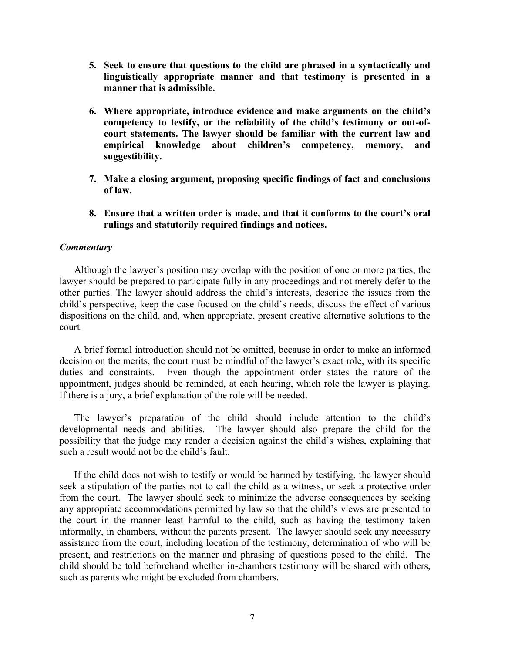- **5. Seek to ensure that questions to the child are phrased in a syntactically and linguistically appropriate manner and that testimony is presented in a manner that is admissible.**
- **6. Where appropriate, introduce evidence and make arguments on the child's competency to testify, or the reliability of the child's testimony or out-ofcourt statements. The lawyer should be familiar with the current law and empirical knowledge about children's competency, memory, and suggestibility.**
- **7. Make a closing argument, proposing specific findings of fact and conclusions of law.**
- **8. Ensure that a written order is made, and that it conforms to the court's oral rulings and statutorily required findings and notices.**

Although the lawyer's position may overlap with the position of one or more parties, the lawyer should be prepared to participate fully in any proceedings and not merely defer to the other parties. The lawyer should address the child's interests, describe the issues from the child's perspective, keep the case focused on the child's needs, discuss the effect of various dispositions on the child, and, when appropriate, present creative alternative solutions to the court.

A brief formal introduction should not be omitted, because in order to make an informed decision on the merits, the court must be mindful of the lawyer's exact role, with its specific duties and constraints. Even though the appointment order states the nature of the appointment, judges should be reminded, at each hearing, which role the lawyer is playing. If there is a jury, a brief explanation of the role will be needed.

The lawyer's preparation of the child should include attention to the child's developmental needs and abilities. The lawyer should also prepare the child for the possibility that the judge may render a decision against the child's wishes, explaining that such a result would not be the child's fault.

If the child does not wish to testify or would be harmed by testifying, the lawyer should seek a stipulation of the parties not to call the child as a witness, or seek a protective order from the court. The lawyer should seek to minimize the adverse consequences by seeking any appropriate accommodations permitted by law so that the child's views are presented to the court in the manner least harmful to the child, such as having the testimony taken informally, in chambers, without the parents present. The lawyer should seek any necessary assistance from the court, including location of the testimony, determination of who will be present, and restrictions on the manner and phrasing of questions posed to the child. The child should be told beforehand whether in-chambers testimony will be shared with others, such as parents who might be excluded from chambers.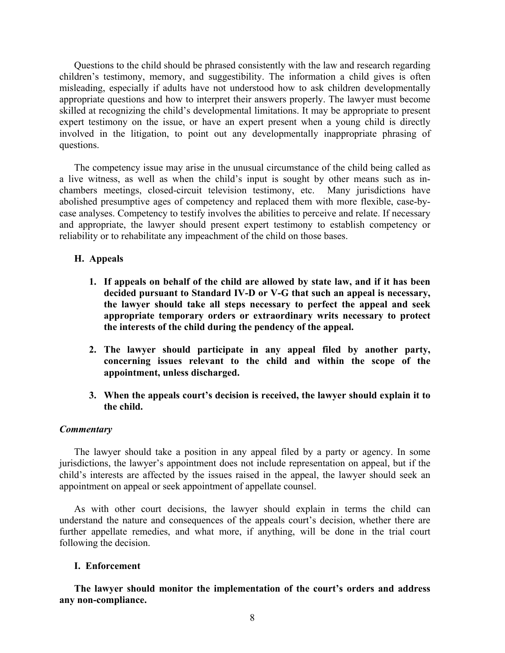Questions to the child should be phrased consistently with the law and research regarding children's testimony, memory, and suggestibility. The information a child gives is often misleading, especially if adults have not understood how to ask children developmentally appropriate questions and how to interpret their answers properly. The lawyer must become skilled at recognizing the child's developmental limitations. It may be appropriate to present expert testimony on the issue, or have an expert present when a young child is directly involved in the litigation, to point out any developmentally inappropriate phrasing of questions.

The competency issue may arise in the unusual circumstance of the child being called as a live witness, as well as when the child's input is sought by other means such as inchambers meetings, closed-circuit television testimony, etc. Many jurisdictions have abolished presumptive ages of competency and replaced them with more flexible, case-bycase analyses. Competency to testify involves the abilities to perceive and relate. If necessary and appropriate, the lawyer should present expert testimony to establish competency or reliability or to rehabilitate any impeachment of the child on those bases.

# **H. Appeals**

- **1. If appeals on behalf of the child are allowed by state law, and if it has been decided pursuant to Standard IV-D or V-G that such an appeal is necessary, the lawyer should take all steps necessary to perfect the appeal and seek appropriate temporary orders or extraordinary writs necessary to protect the interests of the child during the pendency of the appeal.**
- **2. The lawyer should participate in any appeal filed by another party, concerning issues relevant to the child and within the scope of the appointment, unless discharged.**
- **3. When the appeals court's decision is received, the lawyer should explain it to the child.**

# *Commentary*

The lawyer should take a position in any appeal filed by a party or agency. In some jurisdictions, the lawyer's appointment does not include representation on appeal, but if the child's interests are affected by the issues raised in the appeal, the lawyer should seek an appointment on appeal or seek appointment of appellate counsel.

As with other court decisions, the lawyer should explain in terms the child can understand the nature and consequences of the appeals court's decision, whether there are further appellate remedies, and what more, if anything, will be done in the trial court following the decision.

#### **I. Enforcement**

**The lawyer should monitor the implementation of the court's orders and address any non-compliance.**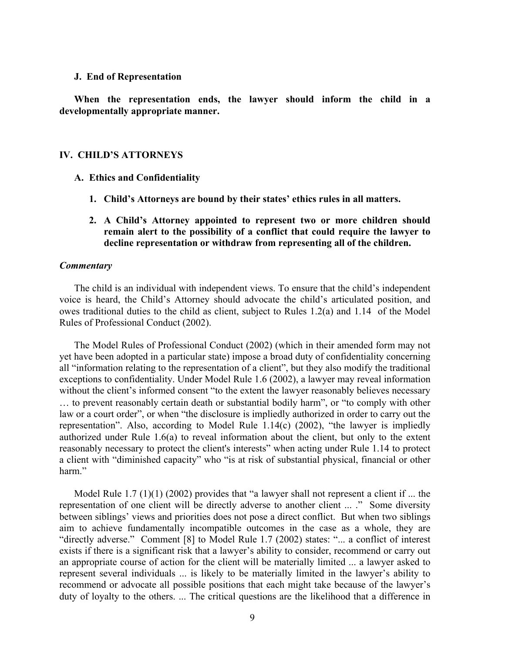## **J. End of Representation**

**When the representation ends, the lawyer should inform the child in a developmentally appropriate manner.** 

## **IV. CHILD'S ATTORNEYS**

- **A. Ethics and Confidentiality** 
	- **1. Child's Attorneys are bound by their states' ethics rules in all matters.**
	- **2. A Child's Attorney appointed to represent two or more children should remain alert to the possibility of a conflict that could require the lawyer to decline representation or withdraw from representing all of the children.**

## *Commentary*

The child is an individual with independent views. To ensure that the child's independent voice is heard, the Child's Attorney should advocate the child's articulated position, and owes traditional duties to the child as client, subject to Rules 1.2(a) and 1.14 of the Model Rules of Professional Conduct (2002).

The Model Rules of Professional Conduct (2002) (which in their amended form may not yet have been adopted in a particular state) impose a broad duty of confidentiality concerning all "information relating to the representation of a client", but they also modify the traditional exceptions to confidentiality. Under Model Rule 1.6 (2002), a lawyer may reveal information without the client's informed consent "to the extent the lawyer reasonably believes necessary … to prevent reasonably certain death or substantial bodily harm", or "to comply with other law or a court order", or when "the disclosure is impliedly authorized in order to carry out the representation". Also, according to Model Rule 1.14(c) (2002), "the lawyer is impliedly authorized under Rule 1.6(a) to reveal information about the client, but only to the extent reasonably necessary to protect the client's interests" when acting under Rule 1.14 to protect a client with "diminished capacity" who "is at risk of substantial physical, financial or other harm."

Model Rule 1.7  $(1)(1)$  (2002) provides that "a lawyer shall not represent a client if ... the representation of one client will be directly adverse to another client ... ." Some diversity between siblings' views and priorities does not pose a direct conflict. But when two siblings aim to achieve fundamentally incompatible outcomes in the case as a whole, they are "directly adverse." Comment [8] to Model Rule 1.7 (2002) states: "... a conflict of interest exists if there is a significant risk that a lawyer's ability to consider, recommend or carry out an appropriate course of action for the client will be materially limited ... a lawyer asked to represent several individuals ... is likely to be materially limited in the lawyer's ability to recommend or advocate all possible positions that each might take because of the lawyer's duty of loyalty to the others. ... The critical questions are the likelihood that a difference in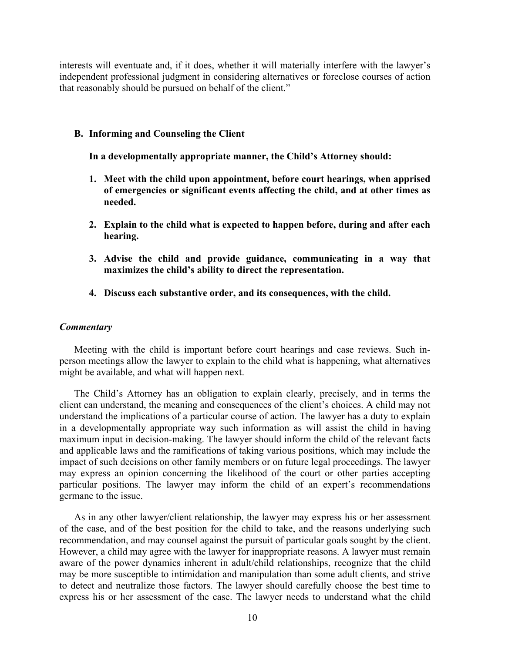interests will eventuate and, if it does, whether it will materially interfere with the lawyer's independent professional judgment in considering alternatives or foreclose courses of action that reasonably should be pursued on behalf of the client."

## **B. Informing and Counseling the Client**

**In a developmentally appropriate manner, the Child's Attorney should:** 

- **1. Meet with the child upon appointment, before court hearings, when apprised of emergencies or significant events affecting the child, and at other times as needed.**
- **2. Explain to the child what is expected to happen before, during and after each hearing.**
- **3. Advise the child and provide guidance, communicating in a way that maximizes the child's ability to direct the representation.**
- **4. Discuss each substantive order, and its consequences, with the child.**

### *Commentary*

Meeting with the child is important before court hearings and case reviews. Such inperson meetings allow the lawyer to explain to the child what is happening, what alternatives might be available, and what will happen next.

The Child's Attorney has an obligation to explain clearly, precisely, and in terms the client can understand, the meaning and consequences of the client's choices. A child may not understand the implications of a particular course of action. The lawyer has a duty to explain in a developmentally appropriate way such information as will assist the child in having maximum input in decision-making. The lawyer should inform the child of the relevant facts and applicable laws and the ramifications of taking various positions, which may include the impact of such decisions on other family members or on future legal proceedings. The lawyer may express an opinion concerning the likelihood of the court or other parties accepting particular positions. The lawyer may inform the child of an expert's recommendations germane to the issue.

As in any other lawyer/client relationship, the lawyer may express his or her assessment of the case, and of the best position for the child to take, and the reasons underlying such recommendation, and may counsel against the pursuit of particular goals sought by the client. However, a child may agree with the lawyer for inappropriate reasons. A lawyer must remain aware of the power dynamics inherent in adult/child relationships, recognize that the child may be more susceptible to intimidation and manipulation than some adult clients, and strive to detect and neutralize those factors. The lawyer should carefully choose the best time to express his or her assessment of the case. The lawyer needs to understand what the child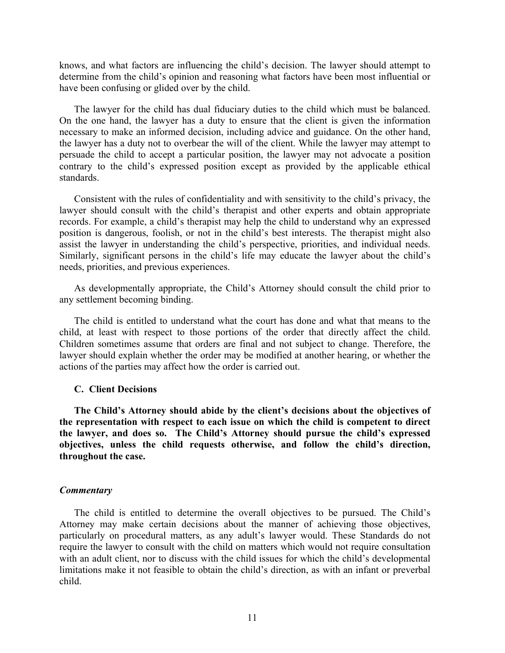knows, and what factors are influencing the child's decision. The lawyer should attempt to determine from the child's opinion and reasoning what factors have been most influential or have been confusing or glided over by the child.

The lawyer for the child has dual fiduciary duties to the child which must be balanced. On the one hand, the lawyer has a duty to ensure that the client is given the information necessary to make an informed decision, including advice and guidance. On the other hand, the lawyer has a duty not to overbear the will of the client. While the lawyer may attempt to persuade the child to accept a particular position, the lawyer may not advocate a position contrary to the child's expressed position except as provided by the applicable ethical standards.

Consistent with the rules of confidentiality and with sensitivity to the child's privacy, the lawyer should consult with the child's therapist and other experts and obtain appropriate records. For example, a child's therapist may help the child to understand why an expressed position is dangerous, foolish, or not in the child's best interests. The therapist might also assist the lawyer in understanding the child's perspective, priorities, and individual needs. Similarly, significant persons in the child's life may educate the lawyer about the child's needs, priorities, and previous experiences.

As developmentally appropriate, the Child's Attorney should consult the child prior to any settlement becoming binding.

The child is entitled to understand what the court has done and what that means to the child, at least with respect to those portions of the order that directly affect the child. Children sometimes assume that orders are final and not subject to change. Therefore, the lawyer should explain whether the order may be modified at another hearing, or whether the actions of the parties may affect how the order is carried out.

# **C. Client Decisions**

**The Child's Attorney should abide by the client's decisions about the objectives of the representation with respect to each issue on which the child is competent to direct the lawyer, and does so. The Child's Attorney should pursue the child's expressed objectives, unless the child requests otherwise, and follow the child's direction, throughout the case.** 

### *Commentary*

The child is entitled to determine the overall objectives to be pursued. The Child's Attorney may make certain decisions about the manner of achieving those objectives, particularly on procedural matters, as any adult's lawyer would. These Standards do not require the lawyer to consult with the child on matters which would not require consultation with an adult client, nor to discuss with the child issues for which the child's developmental limitations make it not feasible to obtain the child's direction, as with an infant or preverbal child.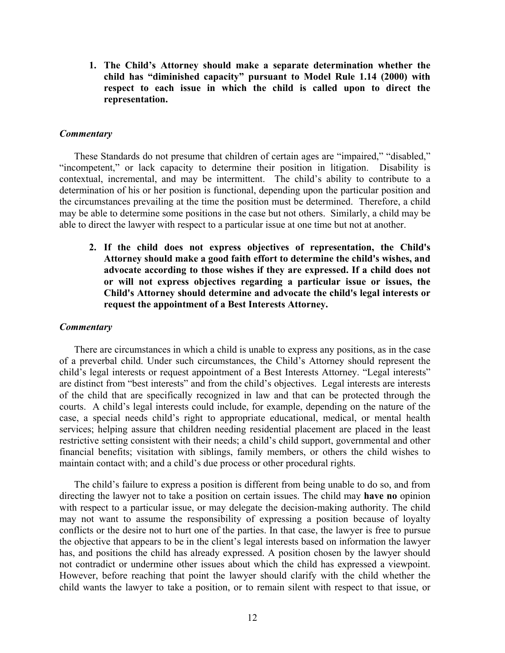**1. The Child's Attorney should make a separate determination whether the child has "diminished capacity" pursuant to Model Rule 1.14 (2000) with respect to each issue in which the child is called upon to direct the representation.** 

# *Commentary*

These Standards do not presume that children of certain ages are "impaired," "disabled," "incompetent," or lack capacity to determine their position in litigation. Disability is contextual, incremental, and may be intermittent. The child's ability to contribute to a determination of his or her position is functional, depending upon the particular position and the circumstances prevailing at the time the position must be determined. Therefore, a child may be able to determine some positions in the case but not others. Similarly, a child may be able to direct the lawyer with respect to a particular issue at one time but not at another.

**2. If the child does not express objectives of representation, the Child's Attorney should make a good faith effort to determine the child's wishes, and advocate according to those wishes if they are expressed. If a child does not or will not express objectives regarding a particular issue or issues, the Child's Attorney should determine and advocate the child's legal interests or request the appointment of a Best Interests Attorney.** 

# *Commentary*

There are circumstances in which a child is unable to express any positions, as in the case of a preverbal child. Under such circumstances, the Child's Attorney should represent the child's legal interests or request appointment of a Best Interests Attorney. "Legal interests" are distinct from "best interests" and from the child's objectives. Legal interests are interests of the child that are specifically recognized in law and that can be protected through the courts. A child's legal interests could include, for example, depending on the nature of the case, a special needs child's right to appropriate educational, medical, or mental health services; helping assure that children needing residential placement are placed in the least restrictive setting consistent with their needs; a child's child support, governmental and other financial benefits; visitation with siblings, family members, or others the child wishes to maintain contact with; and a child's due process or other procedural rights.

The child's failure to express a position is different from being unable to do so, and from directing the lawyer not to take a position on certain issues. The child may **have no** opinion with respect to a particular issue, or may delegate the decision-making authority. The child may not want to assume the responsibility of expressing a position because of loyalty conflicts or the desire not to hurt one of the parties. In that case, the lawyer is free to pursue the objective that appears to be in the client's legal interests based on information the lawyer has, and positions the child has already expressed. A position chosen by the lawyer should not contradict or undermine other issues about which the child has expressed a viewpoint. However, before reaching that point the lawyer should clarify with the child whether the child wants the lawyer to take a position, or to remain silent with respect to that issue, or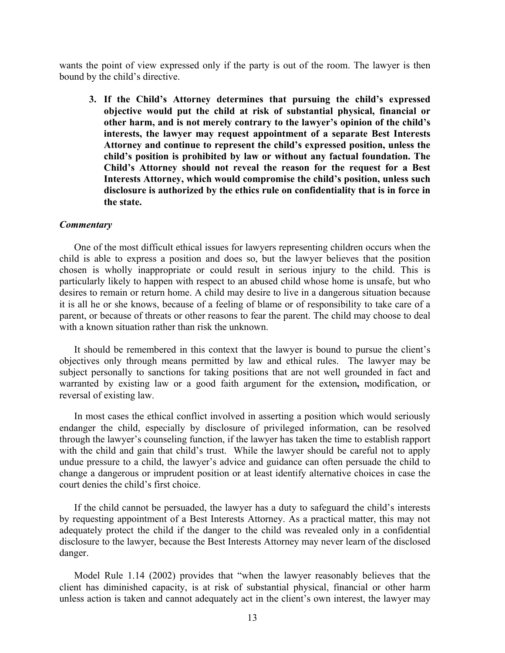wants the point of view expressed only if the party is out of the room. The lawyer is then bound by the child's directive.

**3. If the Child's Attorney determines that pursuing the child's expressed objective would put the child at risk of substantial physical, financial or other harm, and is not merely contrary to the lawyer's opinion of the child's interests, the lawyer may request appointment of a separate Best Interests Attorney and continue to represent the child's expressed position, unless the child's position is prohibited by law or without any factual foundation. The Child's Attorney should not reveal the reason for the request for a Best Interests Attorney, which would compromise the child's position, unless such disclosure is authorized by the ethics rule on confidentiality that is in force in the state.** 

#### *Commentary*

One of the most difficult ethical issues for lawyers representing children occurs when the child is able to express a position and does so, but the lawyer believes that the position chosen is wholly inappropriate or could result in serious injury to the child. This is particularly likely to happen with respect to an abused child whose home is unsafe, but who desires to remain or return home. A child may desire to live in a dangerous situation because it is all he or she knows, because of a feeling of blame or of responsibility to take care of a parent, or because of threats or other reasons to fear the parent. The child may choose to deal with a known situation rather than risk the unknown.

It should be remembered in this context that the lawyer is bound to pursue the client's objectives only through means permitted by law and ethical rules. The lawyer may be subject personally to sanctions for taking positions that are not well grounded in fact and warranted by existing law or a good faith argument for the extension**,** modification, or reversal of existing law.

In most cases the ethical conflict involved in asserting a position which would seriously endanger the child, especially by disclosure of privileged information, can be resolved through the lawyer's counseling function, if the lawyer has taken the time to establish rapport with the child and gain that child's trust. While the lawyer should be careful not to apply undue pressure to a child, the lawyer's advice and guidance can often persuade the child to change a dangerous or imprudent position or at least identify alternative choices in case the court denies the child's first choice.

If the child cannot be persuaded, the lawyer has a duty to safeguard the child's interests by requesting appointment of a Best Interests Attorney. As a practical matter, this may not adequately protect the child if the danger to the child was revealed only in a confidential disclosure to the lawyer, because the Best Interests Attorney may never learn of the disclosed danger.

Model Rule 1.14 (2002) provides that "when the lawyer reasonably believes that the client has diminished capacity, is at risk of substantial physical, financial or other harm unless action is taken and cannot adequately act in the client's own interest, the lawyer may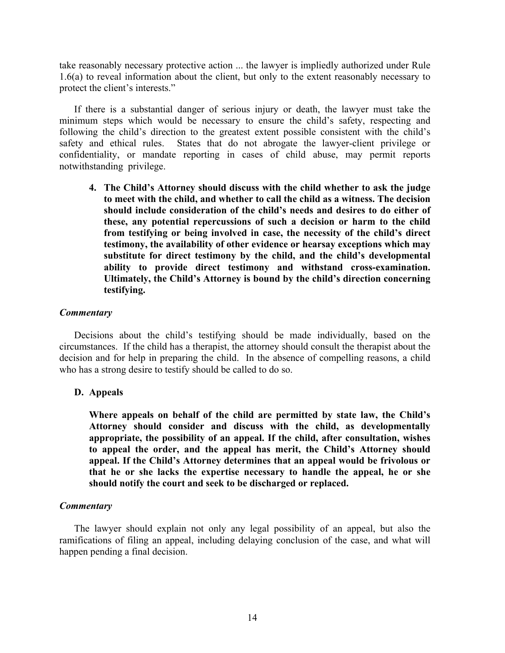take reasonably necessary protective action ... the lawyer is impliedly authorized under Rule 1.6(a) to reveal information about the client, but only to the extent reasonably necessary to protect the client's interests."

If there is a substantial danger of serious injury or death, the lawyer must take the minimum steps which would be necessary to ensure the child's safety, respecting and following the child's direction to the greatest extent possible consistent with the child's safety and ethical rules. States that do not abrogate the lawyer-client privilege or confidentiality, or mandate reporting in cases of child abuse, may permit reports notwithstanding privilege.

**4. The Child's Attorney should discuss with the child whether to ask the judge to meet with the child, and whether to call the child as a witness. The decision should include consideration of the child's needs and desires to do either of these, any potential repercussions of such a decision or harm to the child from testifying or being involved in case, the necessity of the child's direct testimony, the availability of other evidence or hearsay exceptions which may substitute for direct testimony by the child, and the child's developmental ability to provide direct testimony and withstand cross-examination. Ultimately, the Child's Attorney is bound by the child's direction concerning testifying.** 

# *Commentary*

Decisions about the child's testifying should be made individually, based on the circumstances. If the child has a therapist, the attorney should consult the therapist about the decision and for help in preparing the child. In the absence of compelling reasons, a child who has a strong desire to testify should be called to do so.

# **D. Appeals**

**Where appeals on behalf of the child are permitted by state law, the Child's Attorney should consider and discuss with the child, as developmentally appropriate, the possibility of an appeal. If the child, after consultation, wishes to appeal the order, and the appeal has merit, the Child's Attorney should appeal. If the Child's Attorney determines that an appeal would be frivolous or that he or she lacks the expertise necessary to handle the appeal, he or she should notify the court and seek to be discharged or replaced.** 

# *Commentary*

The lawyer should explain not only any legal possibility of an appeal, but also the ramifications of filing an appeal, including delaying conclusion of the case, and what will happen pending a final decision.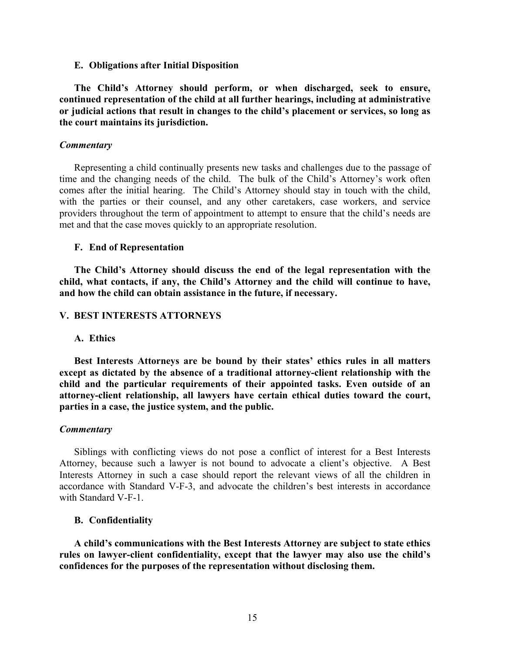#### **E. Obligations after Initial Disposition**

**The Child's Attorney should perform, or when discharged, seek to ensure, continued representation of the child at all further hearings, including at administrative or judicial actions that result in changes to the child's placement or services, so long as the court maintains its jurisdiction.** 

## *Commentary*

Representing a child continually presents new tasks and challenges due to the passage of time and the changing needs of the child. The bulk of the Child's Attorney's work often comes after the initial hearing. The Child's Attorney should stay in touch with the child, with the parties or their counsel, and any other caretakers, case workers, and service providers throughout the term of appointment to attempt to ensure that the child's needs are met and that the case moves quickly to an appropriate resolution.

## **F. End of Representation**

**The Child's Attorney should discuss the end of the legal representation with the child, what contacts, if any, the Child's Attorney and the child will continue to have, and how the child can obtain assistance in the future, if necessary.** 

## **V. BEST INTERESTS ATTORNEYS**

### **A. Ethics**

**Best Interests Attorneys are be bound by their states' ethics rules in all matters except as dictated by the absence of a traditional attorney-client relationship with the child and the particular requirements of their appointed tasks. Even outside of an attorney-client relationship, all lawyers have certain ethical duties toward the court, parties in a case, the justice system, and the public.** 

#### *Commentary*

Siblings with conflicting views do not pose a conflict of interest for a Best Interests Attorney, because such a lawyer is not bound to advocate a client's objective. A Best Interests Attorney in such a case should report the relevant views of all the children in accordance with Standard V-F-3, and advocate the children's best interests in accordance with Standard V-F-1.

#### **B. Confidentiality**

**A child's communications with the Best Interests Attorney are subject to state ethics rules on lawyer-client confidentiality, except that the lawyer may also use the child's confidences for the purposes of the representation without disclosing them.**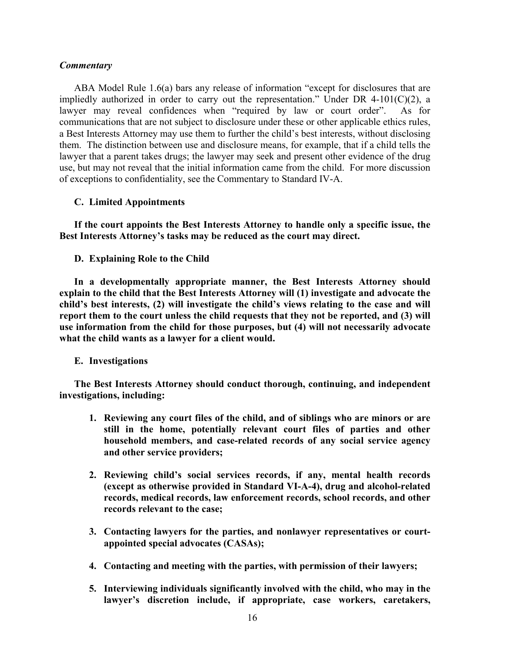ABA Model Rule 1.6(a) bars any release of information "except for disclosures that are impliedly authorized in order to carry out the representation." Under DR 4-101(C)(2), a lawyer may reveal confidences when "required by law or court order". As for communications that are not subject to disclosure under these or other applicable ethics rules, a Best Interests Attorney may use them to further the child's best interests, without disclosing them. The distinction between use and disclosure means, for example, that if a child tells the lawyer that a parent takes drugs; the lawyer may seek and present other evidence of the drug use, but may not reveal that the initial information came from the child. For more discussion of exceptions to confidentiality, see the Commentary to Standard IV-A.

# **C. Limited Appointments**

**If the court appoints the Best Interests Attorney to handle only a specific issue, the Best Interests Attorney's tasks may be reduced as the court may direct.** 

**D. Explaining Role to the Child** 

**In a developmentally appropriate manner, the Best Interests Attorney should explain to the child that the Best Interests Attorney will (1) investigate and advocate the child's best interests, (2) will investigate the child's views relating to the case and will report them to the court unless the child requests that they not be reported, and (3) will use information from the child for those purposes, but (4) will not necessarily advocate what the child wants as a lawyer for a client would.** 

# **E. Investigations**

**The Best Interests Attorney should conduct thorough, continuing, and independent investigations, including:** 

- **1. Reviewing any court files of the child, and of siblings who are minors or are still in the home, potentially relevant court files of parties and other household members, and case-related records of any social service agency and other service providers;**
- **2. Reviewing child's social services records, if any, mental health records (except as otherwise provided in Standard VI-A-4), drug and alcohol-related records, medical records, law enforcement records, school records, and other records relevant to the case;**
- **3. Contacting lawyers for the parties, and nonlawyer representatives or courtappointed special advocates (CASAs);**
- **4. Contacting and meeting with the parties, with permission of their lawyers;**
- **5. Interviewing individuals significantly involved with the child, who may in the lawyer's discretion include, if appropriate, case workers, caretakers,**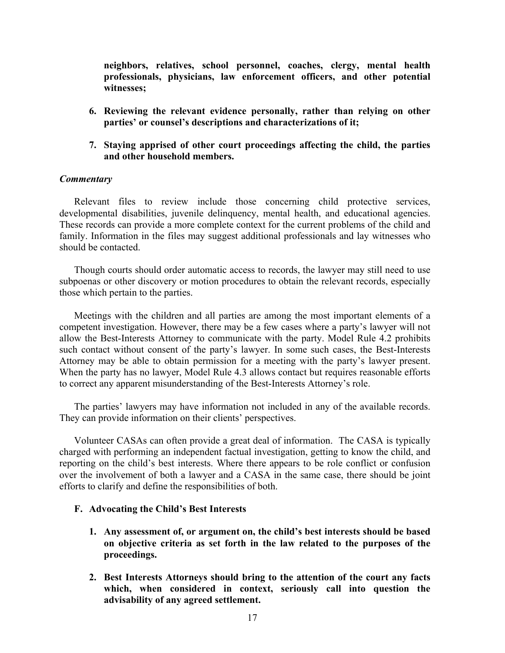**neighbors, relatives, school personnel, coaches, clergy, mental health professionals, physicians, law enforcement officers, and other potential witnesses;** 

- **6. Reviewing the relevant evidence personally, rather than relying on other parties' or counsel's descriptions and characterizations of it;**
- **7. Staying apprised of other court proceedings affecting the child, the parties and other household members.**

# *Commentary*

Relevant files to review include those concerning child protective services, developmental disabilities, juvenile delinquency, mental health, and educational agencies. These records can provide a more complete context for the current problems of the child and family. Information in the files may suggest additional professionals and lay witnesses who should be contacted.

Though courts should order automatic access to records, the lawyer may still need to use subpoenas or other discovery or motion procedures to obtain the relevant records, especially those which pertain to the parties.

Meetings with the children and all parties are among the most important elements of a competent investigation. However, there may be a few cases where a party's lawyer will not allow the Best-Interests Attorney to communicate with the party. Model Rule 4.2 prohibits such contact without consent of the party's lawyer. In some such cases, the Best-Interests Attorney may be able to obtain permission for a meeting with the party's lawyer present. When the party has no lawyer, Model Rule 4.3 allows contact but requires reasonable efforts to correct any apparent misunderstanding of the Best-Interests Attorney's role.

The parties' lawyers may have information not included in any of the available records. They can provide information on their clients' perspectives.

Volunteer CASAs can often provide a great deal of information. The CASA is typically charged with performing an independent factual investigation, getting to know the child, and reporting on the child's best interests. Where there appears to be role conflict or confusion over the involvement of both a lawyer and a CASA in the same case, there should be joint efforts to clarify and define the responsibilities of both.

# **F. Advocating the Child's Best Interests**

- **1. Any assessment of, or argument on, the child's best interests should be based on objective criteria as set forth in the law related to the purposes of the proceedings.**
- **2. Best Interests Attorneys should bring to the attention of the court any facts which, when considered in context, seriously call into question the advisability of any agreed settlement.**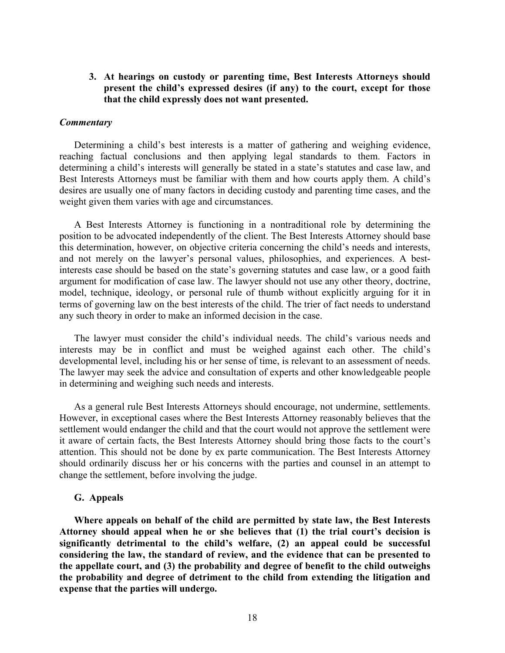**3. At hearings on custody or parenting time, Best Interests Attorneys should present the child's expressed desires (if any) to the court, except for those that the child expressly does not want presented.** 

#### *Commentary*

Determining a child's best interests is a matter of gathering and weighing evidence, reaching factual conclusions and then applying legal standards to them. Factors in determining a child's interests will generally be stated in a state's statutes and case law, and Best Interests Attorneys must be familiar with them and how courts apply them. A child's desires are usually one of many factors in deciding custody and parenting time cases, and the weight given them varies with age and circumstances.

A Best Interests Attorney is functioning in a nontraditional role by determining the position to be advocated independently of the client. The Best Interests Attorney should base this determination, however, on objective criteria concerning the child's needs and interests, and not merely on the lawyer's personal values, philosophies, and experiences. A bestinterests case should be based on the state's governing statutes and case law, or a good faith argument for modification of case law. The lawyer should not use any other theory, doctrine, model, technique, ideology, or personal rule of thumb without explicitly arguing for it in terms of governing law on the best interests of the child. The trier of fact needs to understand any such theory in order to make an informed decision in the case.

The lawyer must consider the child's individual needs. The child's various needs and interests may be in conflict and must be weighed against each other. The child's developmental level, including his or her sense of time, is relevant to an assessment of needs. The lawyer may seek the advice and consultation of experts and other knowledgeable people in determining and weighing such needs and interests.

As a general rule Best Interests Attorneys should encourage, not undermine, settlements. However, in exceptional cases where the Best Interests Attorney reasonably believes that the settlement would endanger the child and that the court would not approve the settlement were it aware of certain facts, the Best Interests Attorney should bring those facts to the court's attention. This should not be done by ex parte communication. The Best Interests Attorney should ordinarily discuss her or his concerns with the parties and counsel in an attempt to change the settlement, before involving the judge.

#### **G. Appeals**

**Where appeals on behalf of the child are permitted by state law, the Best Interests Attorney should appeal when he or she believes that (1) the trial court's decision is significantly detrimental to the child's welfare, (2) an appeal could be successful considering the law, the standard of review, and the evidence that can be presented to the appellate court, and (3) the probability and degree of benefit to the child outweighs the probability and degree of detriment to the child from extending the litigation and expense that the parties will undergo.**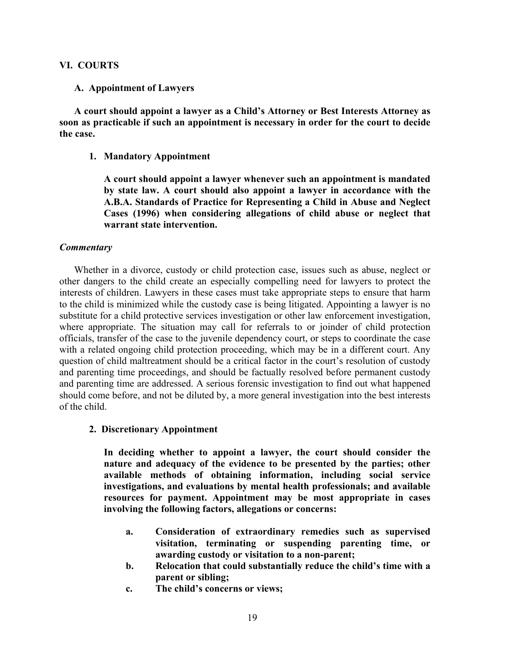# **VI. COURTS**

# **A. Appointment of Lawyers**

**A court should appoint a lawyer as a Child's Attorney or Best Interests Attorney as soon as practicable if such an appointment is necessary in order for the court to decide the case.** 

# **1. Mandatory Appointment**

**A court should appoint a lawyer whenever such an appointment is mandated by state law. A court should also appoint a lawyer in accordance with the A.B.A. Standards of Practice for Representing a Child in Abuse and Neglect Cases (1996) when considering allegations of child abuse or neglect that warrant state intervention.**

# *Commentary*

Whether in a divorce, custody or child protection case, issues such as abuse, neglect or other dangers to the child create an especially compelling need for lawyers to protect the interests of children. Lawyers in these cases must take appropriate steps to ensure that harm to the child is minimized while the custody case is being litigated. Appointing a lawyer is no substitute for a child protective services investigation or other law enforcement investigation, where appropriate. The situation may call for referrals to or joinder of child protection officials, transfer of the case to the juvenile dependency court, or steps to coordinate the case with a related ongoing child protection proceeding, which may be in a different court. Any question of child maltreatment should be a critical factor in the court's resolution of custody and parenting time proceedings, and should be factually resolved before permanent custody and parenting time are addressed. A serious forensic investigation to find out what happened should come before, and not be diluted by, a more general investigation into the best interests of the child.

# **2. Discretionary Appointment**

**In deciding whether to appoint a lawyer, the court should consider the nature and adequacy of the evidence to be presented by the parties; other available methods of obtaining information, including social service investigations, and evaluations by mental health professionals; and available resources for payment. Appointment may be most appropriate in cases involving the following factors, allegations or concerns:** 

- **a. Consideration of extraordinary remedies such as supervised visitation, terminating or suspending parenting time, or awarding custody or visitation to a non-parent;**
- **b. Relocation that could substantially reduce the child's time with a parent or sibling;**
- **c. The child's concerns or views;**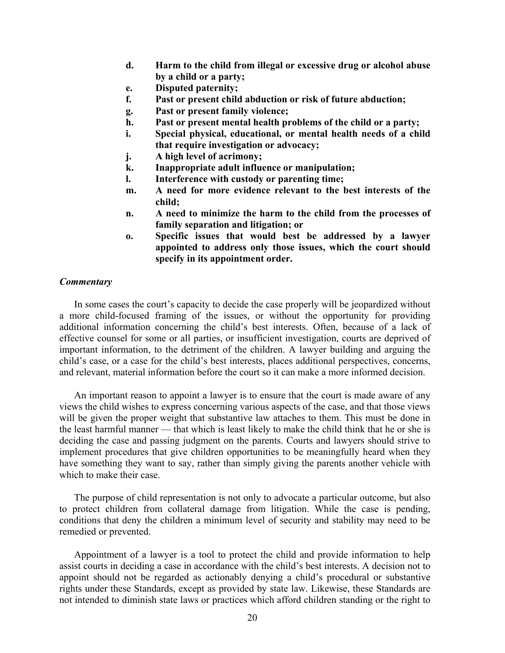- **d. Harm to the child from illegal or excessive drug or alcohol abuse by a child or a party;**
- **e. Disputed paternity;**
- **f. Past or present child abduction or risk of future abduction;**
- **g. Past or present family violence;**
- **h. Past or present mental health problems of the child or a party;**
- **i. Special physical, educational, or mental health needs of a child that require investigation or advocacy;**
- **j. A high level of acrimony;**
- **k. Inappropriate adult influence or manipulation;**
- **l. Interference with custody or parenting time;**
- **m. A need for more evidence relevant to the best interests of the child;**
- **n. A need to minimize the harm to the child from the processes of family separation and litigation; or**
- **o. Specific issues that would best be addressed by a lawyer appointed to address only those issues, which the court should specify in its appointment order.**

In some cases the court's capacity to decide the case properly will be jeopardized without a more child-focused framing of the issues, or without the opportunity for providing additional information concerning the child's best interests. Often, because of a lack of effective counsel for some or all parties, or insufficient investigation, courts are deprived of important information, to the detriment of the children. A lawyer building and arguing the child's case, or a case for the child's best interests, places additional perspectives, concerns, and relevant, material information before the court so it can make a more informed decision.

An important reason to appoint a lawyer is to ensure that the court is made aware of any views the child wishes to express concerning various aspects of the case, and that those views will be given the proper weight that substantive law attaches to them. This must be done in the least harmful manner — that which is least likely to make the child think that he or she is deciding the case and passing judgment on the parents. Courts and lawyers should strive to implement procedures that give children opportunities to be meaningfully heard when they have something they want to say, rather than simply giving the parents another vehicle with which to make their case.

The purpose of child representation is not only to advocate a particular outcome, but also to protect children from collateral damage from litigation. While the case is pending, conditions that deny the children a minimum level of security and stability may need to be remedied or prevented.

Appointment of a lawyer is a tool to protect the child and provide information to help assist courts in deciding a case in accordance with the child's best interests. A decision not to appoint should not be regarded as actionably denying a child's procedural or substantive rights under these Standards, except as provided by state law. Likewise, these Standards are not intended to diminish state laws or practices which afford children standing or the right to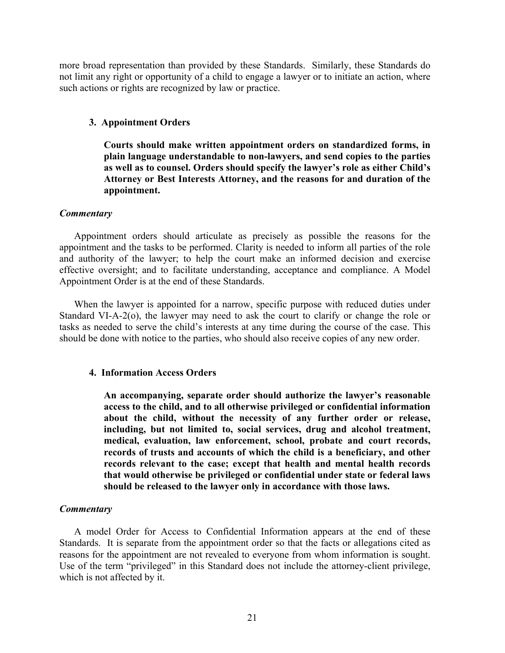more broad representation than provided by these Standards. Similarly, these Standards do not limit any right or opportunity of a child to engage a lawyer or to initiate an action, where such actions or rights are recognized by law or practice.

## **3. Appointment Orders**

**Courts should make written appointment orders on standardized forms, in plain language understandable to non-lawyers, and send copies to the parties as well as to counsel. Orders should specify the lawyer's role as either Child's Attorney or Best Interests Attorney, and the reasons for and duration of the appointment.** 

# *Commentary*

Appointment orders should articulate as precisely as possible the reasons for the appointment and the tasks to be performed. Clarity is needed to inform all parties of the role and authority of the lawyer; to help the court make an informed decision and exercise effective oversight; and to facilitate understanding, acceptance and compliance. A Model Appointment Order is at the end of these Standards.

When the lawyer is appointed for a narrow, specific purpose with reduced duties under Standard VI-A-2(o), the lawyer may need to ask the court to clarify or change the role or tasks as needed to serve the child's interests at any time during the course of the case. This should be done with notice to the parties, who should also receive copies of any new order.

#### **4. Information Access Orders**

**An accompanying, separate order should authorize the lawyer's reasonable access to the child, and to all otherwise privileged or confidential information about the child, without the necessity of any further order or release, including, but not limited to, social services, drug and alcohol treatment, medical, evaluation, law enforcement, school, probate and court records, records of trusts and accounts of which the child is a beneficiary, and other records relevant to the case; except that health and mental health records that would otherwise be privileged or confidential under state or federal laws should be released to the lawyer only in accordance with those laws.** 

# *Commentary*

A model Order for Access to Confidential Information appears at the end of these Standards. It is separate from the appointment order so that the facts or allegations cited as reasons for the appointment are not revealed to everyone from whom information is sought. Use of the term "privileged" in this Standard does not include the attorney-client privilege, which is not affected by it.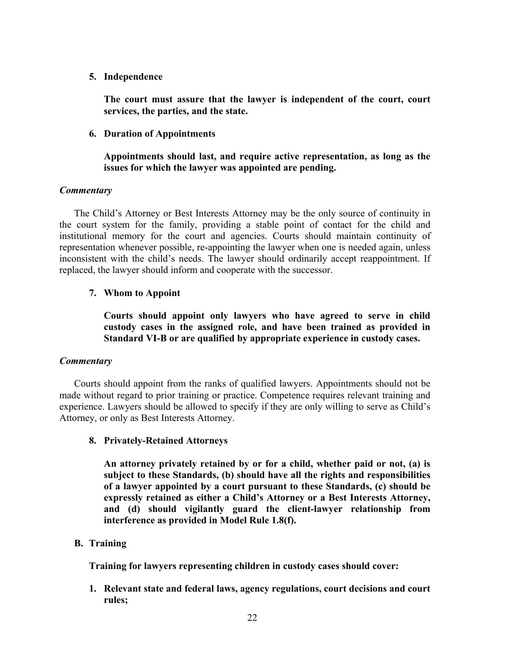**5. Independence** 

**The court must assure that the lawyer is independent of the court, court services, the parties, and the state.** 

**6. Duration of Appointments** 

**Appointments should last, and require active representation, as long as the issues for which the lawyer was appointed are pending.** 

# *Commentary*

The Child's Attorney or Best Interests Attorney may be the only source of continuity in the court system for the family, providing a stable point of contact for the child and institutional memory for the court and agencies. Courts should maintain continuity of representation whenever possible, re-appointing the lawyer when one is needed again, unless inconsistent with the child's needs. The lawyer should ordinarily accept reappointment. If replaced, the lawyer should inform and cooperate with the successor.

# **7. Whom to Appoint**

**Courts should appoint only lawyers who have agreed to serve in child custody cases in the assigned role, and have been trained as provided in Standard VI-B or are qualified by appropriate experience in custody cases.** 

# *Commentary*

Courts should appoint from the ranks of qualified lawyers. Appointments should not be made without regard to prior training or practice. Competence requires relevant training and experience. Lawyers should be allowed to specify if they are only willing to serve as Child's Attorney, or only as Best Interests Attorney.

# **8. Privately-Retained Attorneys**

**An attorney privately retained by or for a child, whether paid or not, (a) is subject to these Standards, (b) should have all the rights and responsibilities of a lawyer appointed by a court pursuant to these Standards, (c) should be expressly retained as either a Child's Attorney or a Best Interests Attorney, and (d) should vigilantly guard the client-lawyer relationship from interference as provided in Model Rule 1.8(f).**

# **B. Training**

**Training for lawyers representing children in custody cases should cover:** 

**1. Relevant state and federal laws, agency regulations, court decisions and court rules;**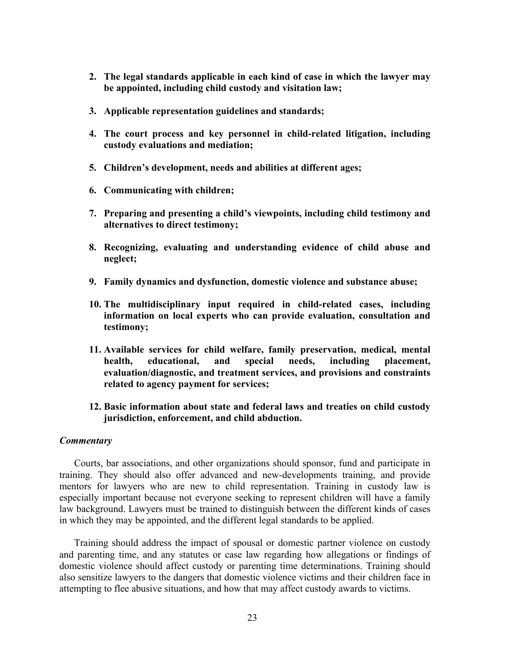- **2. The legal standards applicable in each kind of case in which the lawyer may be appointed, including child custody and visitation law;**
- **3. Applicable representation guidelines and standards;**
- **4. The court process and key personnel in child-related litigation, including custody evaluations and mediation;**
- **5. Children's development, needs and abilities at different ages;**
- **6. Communicating with children;**
- **7. Preparing and presenting a child's viewpoints, including child testimony and alternatives to direct testimony;**
- **8. Recognizing, evaluating and understanding evidence of child abuse and neglect;**
- **9. Family dynamics and dysfunction, domestic violence and substance abuse;**
- **10. The multidisciplinary input required in child-related cases, including information on local experts who can provide evaluation, consultation and testimony;**
- **11. Available services for child welfare, family preservation, medical, mental health, educational, and special needs, including placement, evaluation/diagnostic, and treatment services, and provisions and constraints related to agency payment for services;**
- **12. Basic information about state and federal laws and treaties on child custody jurisdiction, enforcement, and child abduction.**

Courts, bar associations, and other organizations should sponsor, fund and participate in training. They should also offer advanced and new-developments training, and provide mentors for lawyers who are new to child representation. Training in custody law is especially important because not everyone seeking to represent children will have a family law background. Lawyers must be trained to distinguish between the different kinds of cases in which they may be appointed, and the different legal standards to be applied.

Training should address the impact of spousal or domestic partner violence on custody and parenting time, and any statutes or case law regarding how allegations or findings of domestic violence should affect custody or parenting time determinations. Training should also sensitize lawyers to the dangers that domestic violence victims and their children face in attempting to flee abusive situations, and how that may affect custody awards to victims.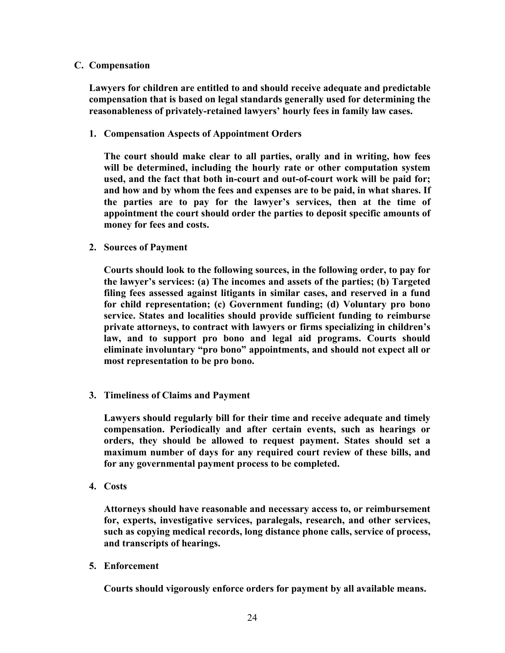# **C. Compensation**

**Lawyers for children are entitled to and should receive adequate and predictable compensation that is based on legal standards generally used for determining the reasonableness of privately-retained lawyers' hourly fees in family law cases.** 

**1. Compensation Aspects of Appointment Orders**

**The court should make clear to all parties, orally and in writing, how fees will be determined, including the hourly rate or other computation system used, and the fact that both in-court and out-of-court work will be paid for; and how and by whom the fees and expenses are to be paid, in what shares. If the parties are to pay for the lawyer's services, then at the time of appointment the court should order the parties to deposit specific amounts of money for fees and costs.** 

**2. Sources of Payment** 

**Courts should look to the following sources, in the following order, to pay for the lawyer's services: (a) The incomes and assets of the parties; (b) Targeted filing fees assessed against litigants in similar cases, and reserved in a fund for child representation; (c) Government funding; (d) Voluntary pro bono service. States and localities should provide sufficient funding to reimburse private attorneys, to contract with lawyers or firms specializing in children's law, and to support pro bono and legal aid programs. Courts should eliminate involuntary "pro bono" appointments, and should not expect all or most representation to be pro bono.** 

**3. Timeliness of Claims and Payment** 

**Lawyers should regularly bill for their time and receive adequate and timely compensation. Periodically and after certain events, such as hearings or orders, they should be allowed to request payment. States should set a maximum number of days for any required court review of these bills, and for any governmental payment process to be completed.** 

**4. Costs** 

**Attorneys should have reasonable and necessary access to, or reimbursement for, experts, investigative services, paralegals, research, and other services, such as copying medical records, long distance phone calls, service of process, and transcripts of hearings.** 

**5. Enforcement** 

**Courts should vigorously enforce orders for payment by all available means.**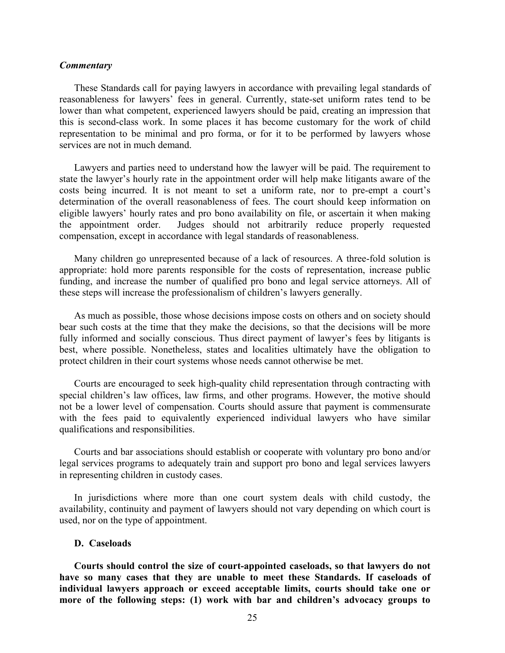These Standards call for paying lawyers in accordance with prevailing legal standards of reasonableness for lawyers' fees in general. Currently, state-set uniform rates tend to be lower than what competent, experienced lawyers should be paid, creating an impression that this is second-class work. In some places it has become customary for the work of child representation to be minimal and pro forma, or for it to be performed by lawyers whose services are not in much demand.

Lawyers and parties need to understand how the lawyer will be paid. The requirement to state the lawyer's hourly rate in the appointment order will help make litigants aware of the costs being incurred. It is not meant to set a uniform rate, nor to pre-empt a court's determination of the overall reasonableness of fees. The court should keep information on eligible lawyers' hourly rates and pro bono availability on file, or ascertain it when making the appointment order. Judges should not arbitrarily reduce properly requested compensation, except in accordance with legal standards of reasonableness.

Many children go unrepresented because of a lack of resources. A three-fold solution is appropriate: hold more parents responsible for the costs of representation, increase public funding, and increase the number of qualified pro bono and legal service attorneys. All of these steps will increase the professionalism of children's lawyers generally.

As much as possible, those whose decisions impose costs on others and on society should bear such costs at the time that they make the decisions, so that the decisions will be more fully informed and socially conscious. Thus direct payment of lawyer's fees by litigants is best, where possible. Nonetheless, states and localities ultimately have the obligation to protect children in their court systems whose needs cannot otherwise be met.

Courts are encouraged to seek high-quality child representation through contracting with special children's law offices, law firms, and other programs. However, the motive should not be a lower level of compensation. Courts should assure that payment is commensurate with the fees paid to equivalently experienced individual lawyers who have similar qualifications and responsibilities.

Courts and bar associations should establish or cooperate with voluntary pro bono and/or legal services programs to adequately train and support pro bono and legal services lawyers in representing children in custody cases.

In jurisdictions where more than one court system deals with child custody, the availability, continuity and payment of lawyers should not vary depending on which court is used, nor on the type of appointment.

# **D. Caseloads**

**Courts should control the size of court-appointed caseloads, so that lawyers do not have so many cases that they are unable to meet these Standards. If caseloads of individual lawyers approach or exceed acceptable limits, courts should take one or more of the following steps: (1) work with bar and children's advocacy groups to**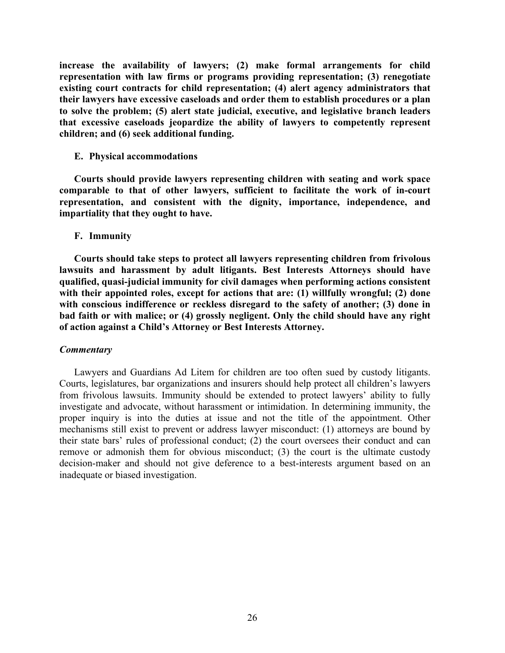**increase the availability of lawyers; (2) make formal arrangements for child representation with law firms or programs providing representation; (3) renegotiate existing court contracts for child representation; (4) alert agency administrators that their lawyers have excessive caseloads and order them to establish procedures or a plan to solve the problem; (5) alert state judicial, executive, and legislative branch leaders that excessive caseloads jeopardize the ability of lawyers to competently represent children; and (6) seek additional funding.** 

## **E. Physical accommodations**

**Courts should provide lawyers representing children with seating and work space comparable to that of other lawyers, sufficient to facilitate the work of in-court representation, and consistent with the dignity, importance, independence, and impartiality that they ought to have.** 

## **F. Immunity**

**Courts should take steps to protect all lawyers representing children from frivolous lawsuits and harassment by adult litigants. Best Interests Attorneys should have qualified, quasi-judicial immunity for civil damages when performing actions consistent with their appointed roles, except for actions that are: (1) willfully wrongful; (2) done with conscious indifference or reckless disregard to the safety of another; (3) done in bad faith or with malice; or (4) grossly negligent. Only the child should have any right of action against a Child's Attorney or Best Interests Attorney.** 

# *Commentary*

Lawyers and Guardians Ad Litem for children are too often sued by custody litigants. Courts, legislatures, bar organizations and insurers should help protect all children's lawyers from frivolous lawsuits. Immunity should be extended to protect lawyers' ability to fully investigate and advocate, without harassment or intimidation. In determining immunity, the proper inquiry is into the duties at issue and not the title of the appointment. Other mechanisms still exist to prevent or address lawyer misconduct: (1) attorneys are bound by their state bars' rules of professional conduct; (2) the court oversees their conduct and can remove or admonish them for obvious misconduct; (3) the court is the ultimate custody decision-maker and should not give deference to a best-interests argument based on an inadequate or biased investigation.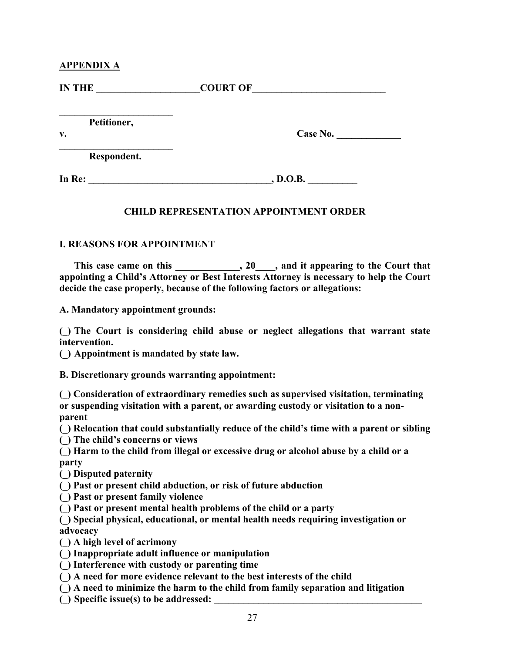# **APPENDIX A**

| <b>IN THE</b>     | <b>COURT OF</b> |
|-------------------|-----------------|
| Petitioner,<br>v. | Case No.        |
| Respondent.       |                 |
| In Re:            | , D.O.B.        |

# **CHILD REPRESENTATION APPOINTMENT ORDER**

# **I. REASONS FOR APPOINTMENT**

This case came on this 20<sub>\_\_\_</sub>, 20<sub>\_\_\_</sub>, and it appearing to the Court that **appointing a Child's Attorney or Best Interests Attorney is necessary to help the Court decide the case properly, because of the following factors or allegations:** 

**A. Mandatory appointment grounds:** 

**(\_) The Court is considering child abuse or neglect allegations that warrant state intervention.** 

**(\_) Appointment is mandated by state law.**

**B. Discretionary grounds warranting appointment:** 

**(\_) Consideration of extraordinary remedies such as supervised visitation, terminating or suspending visitation with a parent, or awarding custody or visitation to a nonparent** 

- **(\_) Relocation that could substantially reduce of the child's time with a parent or sibling**
- **(\_) The child's concerns or views**
- **(\_) Harm to the child from illegal or excessive drug or alcohol abuse by a child or a party**
- **(\_) Disputed paternity**
- **(\_) Past or present child abduction, or risk of future abduction**
- **(\_) Past or present family violence**
- **(\_) Past or present mental health problems of the child or a party**
- **(\_) Special physical, educational, or mental health needs requiring investigation or advocacy**
- **(\_) A high level of acrimony**
- **(\_) Inappropriate adult influence or manipulation**
- **(\_) Interference with custody or parenting time**
- **(\_) A need for more evidence relevant to the best interests of the child**
- **(\_) A need to minimize the harm to the child from family separation and litigation**
- () Specific issue(s) to be addressed: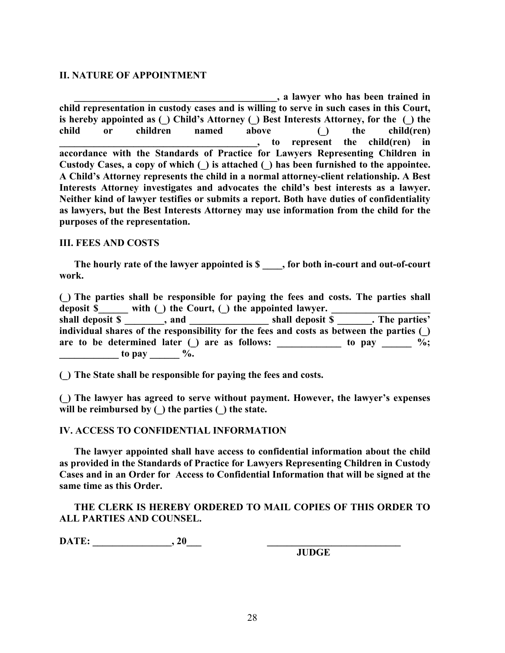# **II. NATURE OF APPOINTMENT**

**\_\_\_\_\_\_\_\_\_\_\_\_\_\_\_\_\_\_\_\_\_\_\_\_\_\_\_\_\_\_\_\_\_\_\_\_\_\_\_\_\_, a lawyer who has been trained in child representation in custody cases and is willing to serve in such cases in this Court, is hereby appointed as (\_) Child's Attorney (\_) Best Interests Attorney, for the (\_) the child or children named above (\_) the child(ren) \_\_\_\_\_\_\_\_\_\_\_\_\_\_\_\_\_\_\_\_\_\_\_\_\_\_\_\_\_\_\_\_\_\_\_\_\_\_\_\_, to represent the child(ren) in accordance with the Standards of Practice for Lawyers Representing Children in Custody Cases, a copy of which (\_) is attached (\_) has been furnished to the appointee. A Child's Attorney represents the child in a normal attorney-client relationship. A Best Interests Attorney investigates and advocates the child's best interests as a lawyer. Neither kind of lawyer testifies or submits a report. Both have duties of confidentiality as lawyers, but the Best Interests Attorney may use information from the child for the purposes of the representation.** 

# **III. FEES AND COSTS**

The hourly rate of the lawyer appointed is \$  $\blacksquare$ , for both in-court and out-of-court **work.** 

**(\_) The parties shall be responsible for paying the fees and costs. The parties shall**  deposit **\$\_\_\_\_\_** with (\_) the Court, (\_) the appointed lawyer. **shall deposit \$ \_\_\_\_\_\_\_\_, and \_\_\_\_\_\_\_\_\_\_\_\_\_\_\_\_ shall deposit \$ \_\_\_\_\_\_\_. The parties' individual shares of the responsibility for the fees and costs as between the parties (\_)**  are to be determined later  $\bigcup$  are as follows: \_\_\_\_\_\_\_\_\_\_\_\_\_ to pay \_\_\_\_\_\_ %;

**(\_) The State shall be responsible for paying the fees and costs.** 

**(\_) The lawyer has agreed to serve without payment. However, the lawyer's expenses will be reimbursed by (\_) the parties (\_) the state.** 

# **IV. ACCESS TO CONFIDENTIAL INFORMATION**

**The lawyer appointed shall have access to confidential information about the child as provided in the Standards of Practice for Lawyers Representing Children in Custody Cases and in an Order for Access to Confidential Information that will be signed at the same time as this Order.**

**THE CLERK IS HEREBY ORDERED TO MAIL COPIES OF THIS ORDER TO ALL PARTIES AND COUNSEL.** 

**DATE: \_\_\_\_\_\_\_\_\_\_\_\_\_\_\_\_, 20\_\_\_ \_\_\_\_\_\_\_\_\_\_\_\_\_\_\_\_\_\_\_\_\_\_\_\_\_\_\_** 

 $\frac{1}{2}$  to pay  $\frac{1}{2}$ .

**JUDGE**